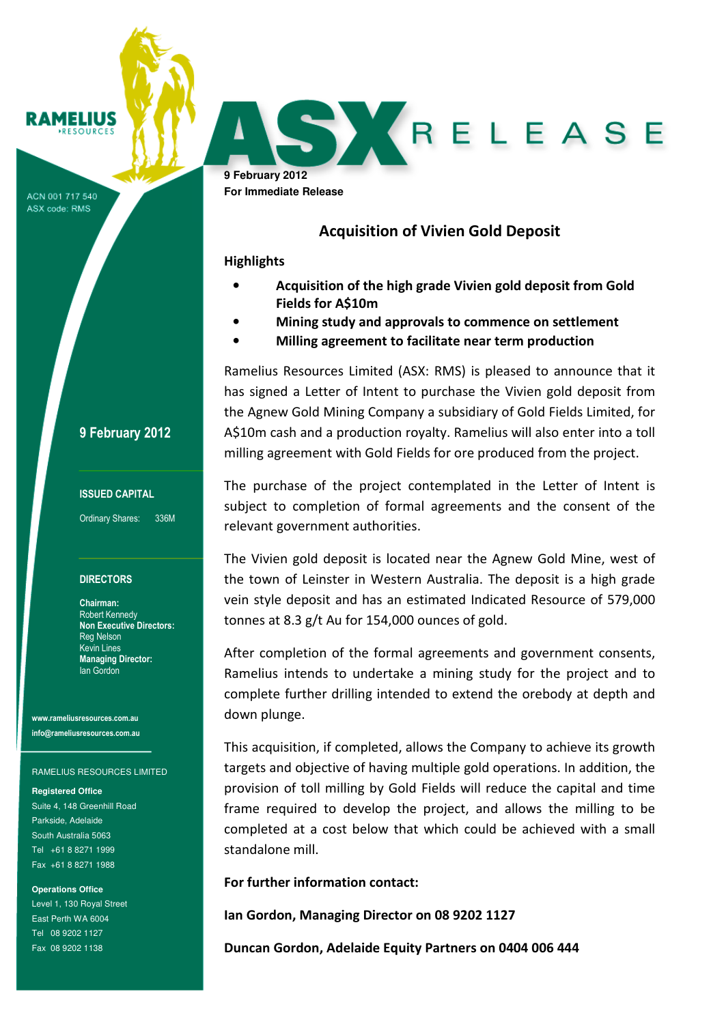# RAMELIUS

ACN 001 717 540 ASX code: RMS

### 9 February 2012

### ISSUED CAPITAL

Ordinary Shares: 336M

#### **DIRECTORS**

Chairman: Robert Kennedy Non Executive Directors: Reg Nelson Kevin Lines Managing Director: Ian Gordon

www.rameliusresources.com.au info@rameliusresources.com.au

#### RAMELIUS RESOURCES LIMITED

**Registered Office**  Suite 4, 148 Greenhill Road Parkside, Adelaide South Australia 5063 Tel +61 8 8271 1999 Fax +61 8 8271 1988

**Operations Office**  Level 1, 130 Royal Street East Perth WA 6004 Tel 08 9202 1127 Fax 08 9202 1138

**9 February 2012 For Immediate Release** 

## Acquisition of Vivien Gold Deposit

RELEASE

### **Highlights**

- Acquisition of the high grade Vivien gold deposit from Gold Fields for A\$10m
- Mining study and approvals to commence on settlement
- Milling agreement to facilitate near term production

Ramelius Resources Limited (ASX: RMS) is pleased to announce that it has signed a Letter of Intent to purchase the Vivien gold deposit from the Agnew Gold Mining Company a subsidiary of Gold Fields Limited, for A\$10m cash and a production royalty. Ramelius will also enter into a toll milling agreement with Gold Fields for ore produced from the project.

The purchase of the project contemplated in the Letter of Intent is subject to completion of formal agreements and the consent of the relevant government authorities.

The Vivien gold deposit is located near the Agnew Gold Mine, west of the town of Leinster in Western Australia. The deposit is a high grade vein style deposit and has an estimated Indicated Resource of 579,000 tonnes at 8.3 g/t Au for 154,000 ounces of gold.

After completion of the formal agreements and government consents, Ramelius intends to undertake a mining study for the project and to complete further drilling intended to extend the orebody at depth and down plunge.

This acquisition, if completed, allows the Company to achieve its growth targets and objective of having multiple gold operations. In addition, the provision of toll milling by Gold Fields will reduce the capital and time frame required to develop the project, and allows the milling to be completed at a cost below that which could be achieved with a small standalone mill.

For further information contact:

Ian Gordon, Managing Director on 08 9202 1127

Duncan Gordon, Adelaide Equity Partners on 0404 006 444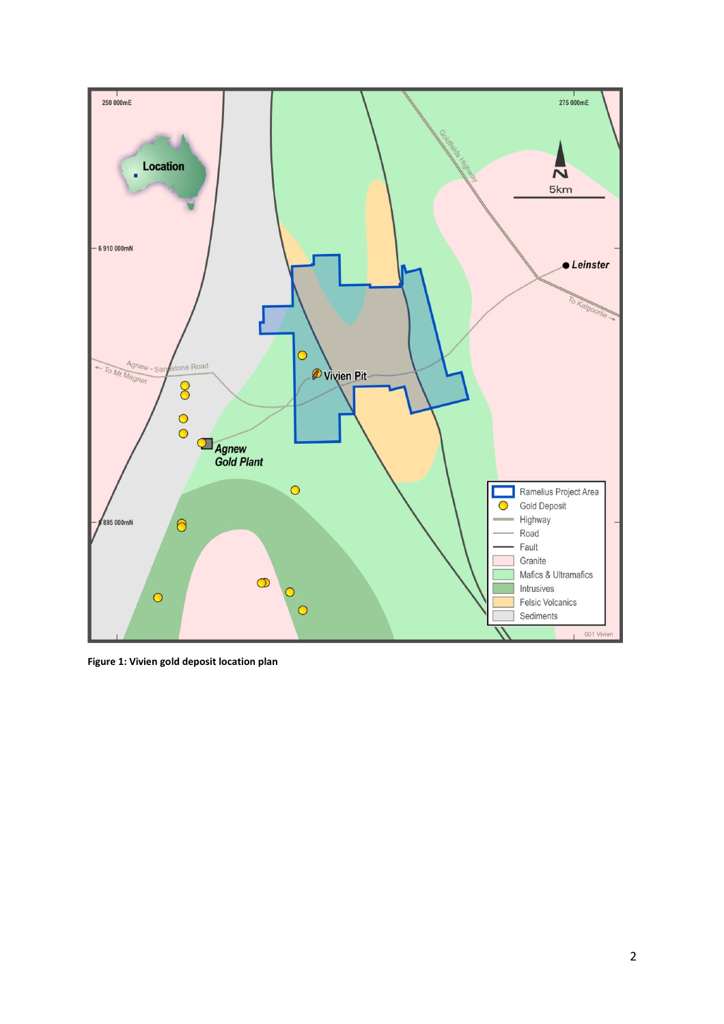

Figure 1: Vivien gold deposit location plan